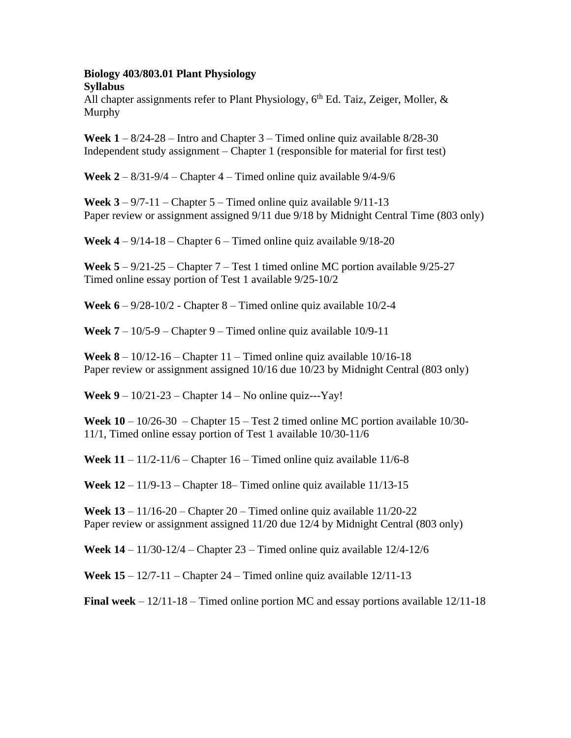## **Biology 403/803.01 Plant Physiology Syllabus**

All chapter assignments refer to Plant Physiology,  $6<sup>th</sup>$  Ed. Taiz, Zeiger, Moller,  $\&$ Murphy

**Week**  $1 - 8/24 - 28$  – Intro and Chapter  $3 -$  Timed online quiz available  $8/28 - 30$ Independent study assignment – Chapter 1 (responsible for material for first test)

**Week 2** – 8/31-9/4 – Chapter 4 – Timed online quiz available 9/4-9/6

**Week**  $3 - 9/7 - 11$  – Chapter  $5 -$  Timed online quiz available  $9/11 - 13$ Paper review or assignment assigned 9/11 due 9/18 by Midnight Central Time (803 only)

**Week 4** – 9/14-18 – Chapter 6 – Timed online quiz available 9/18-20

**Week 5** – 9/21-25 – Chapter 7 – Test 1 timed online MC portion available 9/25-27 Timed online essay portion of Test 1 available 9/25-10/2

**Week 6** – 9/28-10/2 - Chapter 8 – Timed online quiz available 10/2-4

**Week**  $7 - 10/5 - 9 -$  **Chapter 9 – Timed online quiz available 10/9-11** 

**Week 8** – 10/12-16 – Chapter 11 – Timed online quiz available  $10/16-18$ Paper review or assignment assigned 10/16 due 10/23 by Midnight Central (803 only)

**Week 9** – 10/21-23 – Chapter 14 – No online quiz---Yay!

**Week**  $10 - 10/26 - 30$  – Chapter  $15 - Test$  2 timed online MC portion available  $10/30$ -11/1, Timed online essay portion of Test 1 available 10/30-11/6

**Week**  $11 - 11/2-11/6$  – Chapter  $16 -$  Timed online quiz available  $11/6-8$ 

**Week 12** – 11/9-13 – Chapter 18– Timed online quiz available 11/13-15

**Week 13** – 11/16-20 – Chapter 20 – Timed online quiz available 11/20-22 Paper review or assignment assigned 11/20 due 12/4 by Midnight Central (803 only)

**Week 14** – 11/30-12/4 – Chapter 23 – Timed online quiz available 12/4-12/6

**Week 15** – 12/7-11 – Chapter 24 – Timed online quiz available 12/11-13

**Final week** – 12/11-18 – Timed online portion MC and essay portions available 12/11-18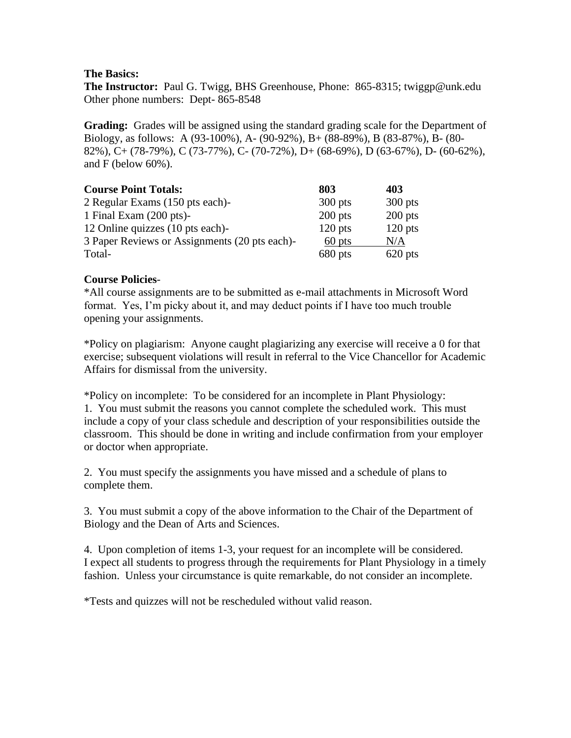# **The Basics:**

**The Instructor:** Paul G. Twigg, BHS Greenhouse, Phone: 865-8315; twiggp@unk.edu Other phone numbers: Dept- 865-8548

**Grading:** Grades will be assigned using the standard grading scale for the Department of Biology, as follows: A (93-100%), A- (90-92%), B+ (88-89%), B (83-87%), B- (80- 82%), C+ (78-79%), C (73-77%), C- (70-72%), D+ (68-69%), D (63-67%), D- (60-62%), and F (below 60%).

| <b>Course Point Totals:</b>                   | 803       | 403       |
|-----------------------------------------------|-----------|-----------|
| 2 Regular Exams (150 pts each)-               | $300$ pts | $300$ pts |
| 1 Final Exam $(200 \text{ pts})$ -            | $200$ pts | $200$ pts |
| 12 Online quizzes (10 pts each)-              | $120$ pts | $120$ pts |
| 3 Paper Reviews or Assignments (20 pts each)- | 60 pts    | N/A       |
| Total-                                        | 680 pts   | $620$ pts |

# **Course Policies**-

\*All course assignments are to be submitted as e-mail attachments in Microsoft Word format. Yes, I'm picky about it, and may deduct points if I have too much trouble opening your assignments.

\*Policy on plagiarism: Anyone caught plagiarizing any exercise will receive a 0 for that exercise; subsequent violations will result in referral to the Vice Chancellor for Academic Affairs for dismissal from the university.

\*Policy on incomplete: To be considered for an incomplete in Plant Physiology: 1. You must submit the reasons you cannot complete the scheduled work. This must include a copy of your class schedule and description of your responsibilities outside the classroom. This should be done in writing and include confirmation from your employer or doctor when appropriate.

2. You must specify the assignments you have missed and a schedule of plans to complete them.

3. You must submit a copy of the above information to the Chair of the Department of Biology and the Dean of Arts and Sciences.

4. Upon completion of items 1-3, your request for an incomplete will be considered. I expect all students to progress through the requirements for Plant Physiology in a timely fashion. Unless your circumstance is quite remarkable, do not consider an incomplete.

\*Tests and quizzes will not be rescheduled without valid reason.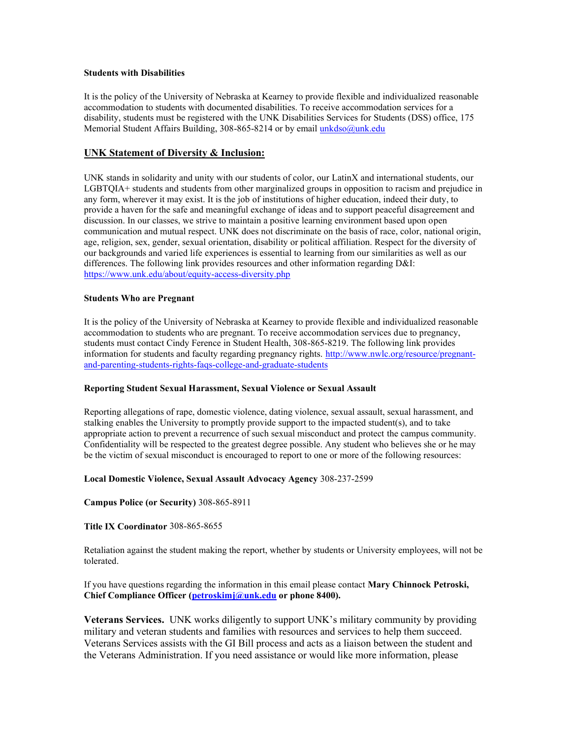### **Students with Disabilities**

It is the policy of the University of Nebraska at Kearney to provide flexible and individualized reasonable accommodation to students with documented disabilities. To receive accommodation services for a disability, students must be registered with the UNK Disabilities Services for Students (DSS) office, 175 Memorial Student Affairs Building, 308-865-8214 or by email [unkdso@unk.edu](mailto:unkdso@unk.edu)

### **UNK Statement of Diversity & Inclusion:**

UNK stands in solidarity and unity with our students of color, our LatinX and international students, our LGBTQIA+ students and students from other marginalized groups in opposition to racism and prejudice in any form, wherever it may exist. It is the job of institutions of higher education, indeed their duty, to provide a haven for the safe and meaningful exchange of ideas and to support peaceful disagreement and discussion. In our classes, we strive to maintain a positive learning environment based upon open communication and mutual respect. UNK does not discriminate on the basis of race, color, national origin, age, religion, sex, gender, sexual orientation, disability or political affiliation. Respect for the diversity of our backgrounds and varied life experiences is essential to learning from our similarities as well as our differences. The following link provides resources and other information regarding D&I: <https://www.unk.edu/about/equity-access-diversity.php>

### **Students Who are Pregnant**

It is the policy of the University of Nebraska at Kearney to provide flexible and individualized reasonable accommodation to students who are pregnant. To receive accommodation services due to pregnancy, students must contact Cindy Ference in Student Health, 308-865-8219. The following link provides information for students and faculty regarding pregnancy rights. [http://www.nwlc.org/resource/pregnant](https://urldefense.proofpoint.com/v2/url?u=http-3A__www.nwlc.org_resource_pregnant-2Dand-2Dparenting-2Dstudents-2Drights-2Dfaqs-2Dcollege-2Dand-2Dgraduate-2Dstudents&d=DwMFAg&c=Cu5g146wZdoqVuKpTNsYHeFX_rg6kWhlkLF8Eft-wwo&r=BJkIhAaMtWY7PlqIhIOyVw&m=RgBL3s2VNHfvD5ReMK2q_PhwYU8dbEt1vxs1BO4WkpQ&s=MmB91XAzaW-E7UPMXPGx9tWJQbTWJYyYzM8gLjhEzQ0&e=)[and-parenting-students-rights-faqs-college-and-graduate-students](https://urldefense.proofpoint.com/v2/url?u=http-3A__www.nwlc.org_resource_pregnant-2Dand-2Dparenting-2Dstudents-2Drights-2Dfaqs-2Dcollege-2Dand-2Dgraduate-2Dstudents&d=DwMFAg&c=Cu5g146wZdoqVuKpTNsYHeFX_rg6kWhlkLF8Eft-wwo&r=BJkIhAaMtWY7PlqIhIOyVw&m=RgBL3s2VNHfvD5ReMK2q_PhwYU8dbEt1vxs1BO4WkpQ&s=MmB91XAzaW-E7UPMXPGx9tWJQbTWJYyYzM8gLjhEzQ0&e=)

#### **Reporting Student Sexual Harassment, Sexual Violence or Sexual Assault**

Reporting allegations of rape, domestic violence, dating violence, sexual assault, sexual harassment, and stalking enables the University to promptly provide support to the impacted student(s), and to take appropriate action to prevent a recurrence of such sexual misconduct and protect the campus community. Confidentiality will be respected to the greatest degree possible. Any student who believes she or he may be the victim of sexual misconduct is encouraged to report to one or more of the following resources:

### **Local Domestic Violence, Sexual Assault Advocacy Agency** 308-237-2599

**Campus Police (or Security)** 308-865-8911

**Title IX Coordinator** 308-865-8655

Retaliation against the student making the report, whether by students or University employees, will not be tolerated.

If you have questions regarding the information in this email please contact **Mary Chinnock Petroski, Chief Compliance Officer [\(petroskimj@unk.edu](mailto:petroskimj@unk.edu)** or phone 8400).

**Veterans Services.** UNK works diligently to support UNK's military community by providing military and veteran students and families with resources and services to help them succeed. Veterans Services assists with the GI Bill process and acts as a liaison between the student and the Veterans Administration. If you need assistance or would like more information, please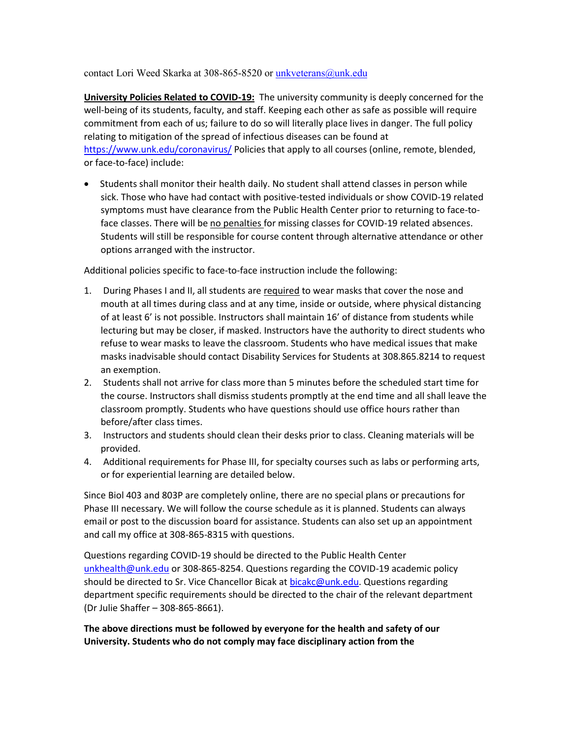contact Lori Weed Skarka at 308-865-8520 or [unkveterans@unk.edu](mailto:unkveterans@unk.edu)

**University Policies Related to COVID-19:** The university community is deeply concerned for the well-being of its students, faculty, and staff. Keeping each other as safe as possible will require commitment from each of us; failure to do so will literally place lives in danger. The full policy relating to mitigation of the spread of infectious diseases can be found at <https://www.unk.edu/coronavirus/> Policies that apply to all courses (online, remote, blended, or face-to-face) include:

• Students shall monitor their health daily. No student shall attend classes in person while sick. Those who have had contact with positive-tested individuals or show COVID-19 related symptoms must have clearance from the Public Health Center prior to returning to face-toface classes. There will be no penalties for missing classes for COVID-19 related absences. Students will still be responsible for course content through alternative attendance or other options arranged with the instructor.

Additional policies specific to face-to-face instruction include the following:

- 1. During Phases I and II, all students are required to wear masks that cover the nose and mouth at all times during class and at any time, inside or outside, where physical distancing of at least 6' is not possible. Instructors shall maintain 16' of distance from students while lecturing but may be closer, if masked. Instructors have the authority to direct students who refuse to wear masks to leave the classroom. Students who have medical issues that make masks inadvisable should contact Disability Services for Students at 308.865.8214 to request an exemption.
- 2. Students shall not arrive for class more than 5 minutes before the scheduled start time for the course. Instructors shall dismiss students promptly at the end time and all shall leave the classroom promptly. Students who have questions should use office hours rather than before/after class times.
- 3. Instructors and students should clean their desks prior to class. Cleaning materials will be provided.
- 4. Additional requirements for Phase III, for specialty courses such as labs or performing arts, or for experiential learning are detailed below.

Since Biol 403 and 803P are completely online, there are no special plans or precautions for Phase III necessary. We will follow the course schedule as it is planned. Students can always email or post to the discussion board for assistance. Students can also set up an appointment and call my office at 308-865-8315 with questions.

Questions regarding COVID-19 should be directed to the Public Health Center [unkhealth@unk.edu](mailto:unkhealth@unk.edu) or 308-865-8254. Questions regarding the COVID-19 academic policy should be directed to Sr. Vice Chancellor Bicak a[t bicakc@unk.edu.](mailto:bicakc@unk.edu) Questions regarding department specific requirements should be directed to the chair of the relevant department (Dr Julie Shaffer – 308-865-8661).

**The above directions must be followed by everyone for the health and safety of our University. Students who do not comply may face disciplinary action from the**